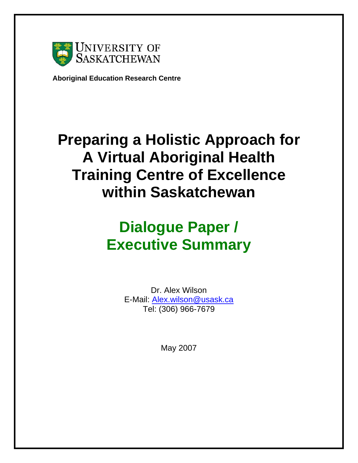

**Aboriginal Education Research Centre** 

## **Preparing a Holistic Approach for A Virtual Aboriginal Health Training Centre of Excellence within Saskatchewan**

# **Dialogue Paper / Executive Summary**

Dr. Alex Wilson E-Mail: Alex.wilson@usask.ca Tel: (306) 966-7679

May 2007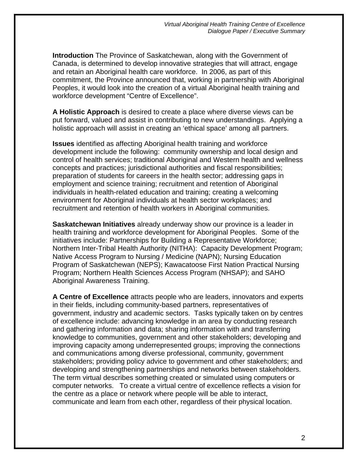**Introduction** The Province of Saskatchewan, along with the Government of Canada, is determined to develop innovative strategies that will attract, engage and retain an Aboriginal health care workforce. In 2006, as part of this commitment, the Province announced that, working in partnership with Aboriginal Peoples, it would look into the creation of a virtual Aboriginal health training and workforce development "Centre of Excellence".

**A Holistic Approach** is desired to create a place where diverse views can be put forward, valued and assist in contributing to new understandings. Applying a holistic approach will assist in creating an 'ethical space' among all partners.

**Issues** identified as affecting Aboriginal health training and workforce development include the following: community ownership and local design and control of health services; traditional Aboriginal and Western health and wellness concepts and practices; jurisdictional authorities and fiscal responsibilities; preparation of students for careers in the health sector; addressing gaps in employment and science training; recruitment and retention of Aboriginal individuals in health-related education and training; creating a welcoming environment for Aboriginal individuals at health sector workplaces; and recruitment and retention of health workers in Aboriginal communities.

**Saskatchewan Initiatives** already underway show our province is a leader in health training and workforce development for Aboriginal Peoples. Some of the initiatives include: Partnerships for Building a Representative Workforce; Northern Inter-Tribal Health Authority (NITHA): Capacity Development Program; Native Access Program to Nursing / Medicine (NAPN); Nursing Education Program of Saskatchewan (NEPS); Kawacatoose First Nation Practical Nursing Program; Northern Health Sciences Access Program (NHSAP); and SAHO Aboriginal Awareness Training.

**A Centre of Excellence** attracts people who are leaders, innovators and experts in their fields, including community-based partners, representatives of government, industry and academic sectors. Tasks typically taken on by centres of excellence include: advancing knowledge in an area by conducting research and gathering information and data; sharing information with and transferring knowledge to communities, government and other stakeholders; developing and improving capacity among underrepresented groups; improving the connections and communications among diverse professional, community, government stakeholders; providing policy advice to government and other stakeholders; and developing and strengthening partnerships and networks between stakeholders. The term virtual describes something created or simulated using computers or computer networks. To create a virtual centre of excellence reflects a vision for the centre as a place or network where people will be able to interact, communicate and learn from each other, regardless of their physical location.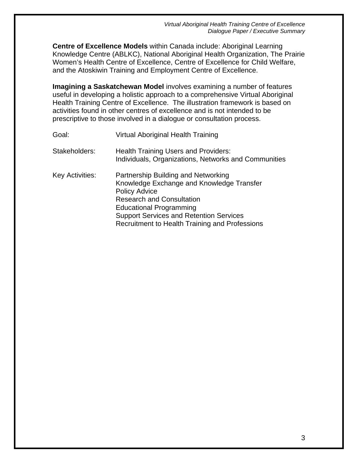*Virtual Aboriginal Health Training Centre of Excellence Dialogue Paper / Executive Summary* 

**Centre of Excellence Models** within Canada include: Aboriginal Learning Knowledge Centre (ABLKC), National Aboriginal Health Organization, The Prairie Women's Health Centre of Excellence, Centre of Excellence for Child Welfare, and the Atoskiwin Training and Employment Centre of Excellence.

**Imagining a Saskatchewan Model** involves examining a number of features useful in developing a holistic approach to a comprehensive Virtual Aboriginal Health Training Centre of Excellence. The illustration framework is based on activities found in other centres of excellence and is not intended to be prescriptive to those involved in a dialogue or consultation process.

| Goal:           | Virtual Aboriginal Health Training                                                                                                                                                                                                                                                        |
|-----------------|-------------------------------------------------------------------------------------------------------------------------------------------------------------------------------------------------------------------------------------------------------------------------------------------|
| Stakeholders:   | <b>Health Training Users and Providers:</b><br>Individuals, Organizations, Networks and Communities                                                                                                                                                                                       |
| Key Activities: | Partnership Building and Networking<br>Knowledge Exchange and Knowledge Transfer<br><b>Policy Advice</b><br><b>Research and Consultation</b><br><b>Educational Programming</b><br><b>Support Services and Retention Services</b><br><b>Recruitment to Health Training and Professions</b> |